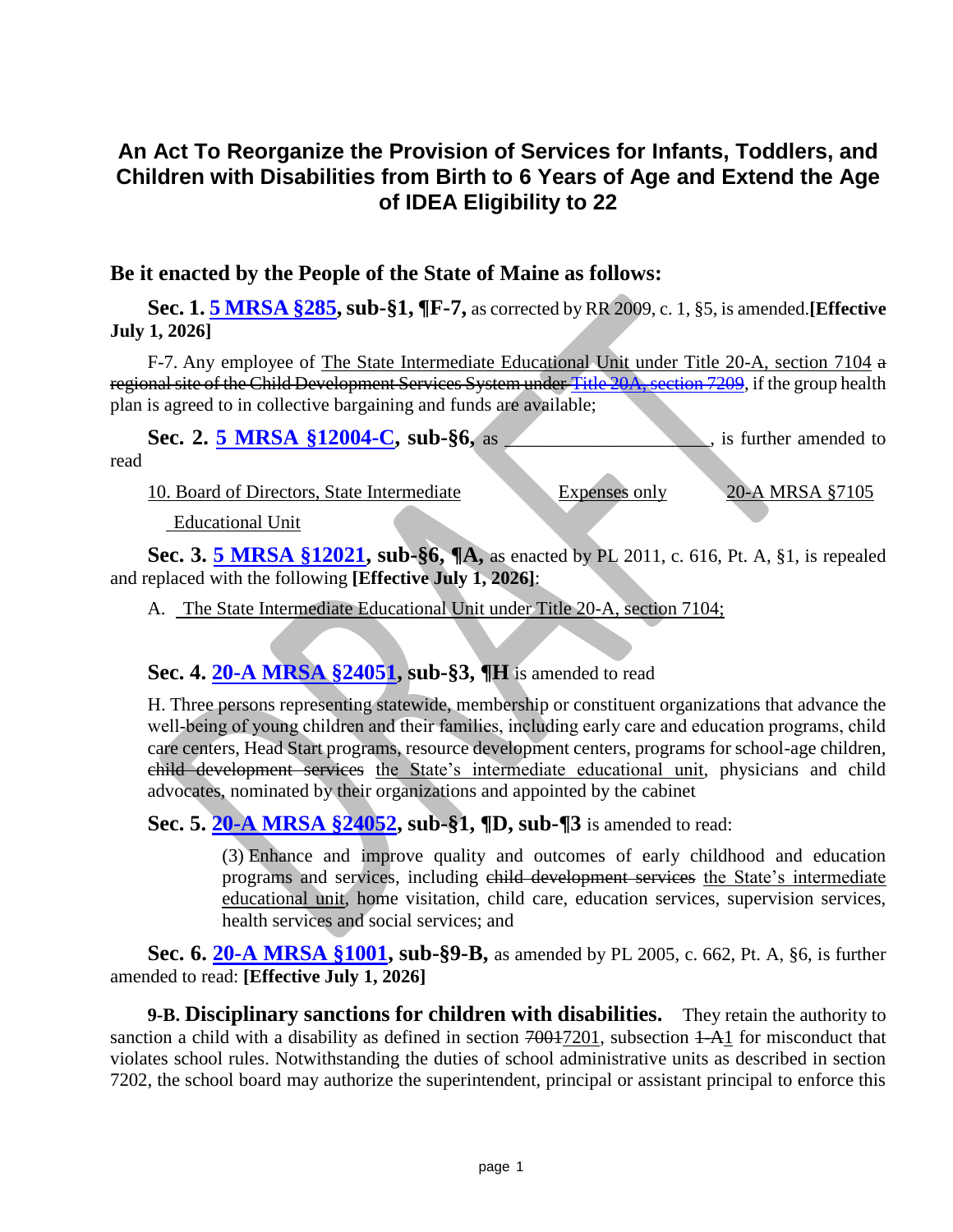# **An Act To Reorganize the Provision of Services for Infants, Toddlers, and Children with Disabilities from Birth to 6 Years of Age and Extend the Age of IDEA Eligibility to 22**

#### **Be it enacted by the People of the State of Maine as follows:**

**Sec. 1. [5 MRSA §285,](https://legislature.maine.gov/legis/statutes/5/title5sec285.html) sub-§1, ¶F-7,** as corrected by RR 2009, c. 1, §5, is amended.**[Effective July 1, 2026]**

F-7. Any employee of The State Intermediate Educational Unit under Title 20-A, section 7104 a regional site of the Child Development Services System under [Title 20A, section 7209,](https://legislature.maine.gov/legis/statutes/20-A/title20-Asec7209.html) if the group health plan is agreed to in collective bargaining and funds are available;

Sec. 2. [5 MRSA §12004-C,](https://legislature.maine.gov/legis/statutes/5/title5sec12004-C.html) sub-§6, as \_\_\_\_\_\_\_\_\_\_\_\_\_, is further amended to

read

10. Board of Directors, State Intermediate Expenses only 20-A MRSA §7105

Educational Unit

**Sec. 3. [5 MRSA §12021,](https://legislature.maine.gov/legis/statutes/5/title5sec12021.html) sub-§6, ¶A,** as enacted by PL 2011, c. 616, Pt. A, §1, is repealed and replaced with the following **[Effective July 1, 2026]**:

A. The State Intermediate Educational Unit under Title 20-A, section 7104;

## **Sec. 4. [20-A MRSA §24051,](https://legislature.maine.gov/legis/statutes/5/title5sec24051.html) sub-§3, ¶H** is amended to read

H. Three persons representing statewide, membership or constituent organizations that advance the well-being of young children and their families, including early care and education programs, child care centers, Head Start programs, resource development centers, programs for school-age children, child development services the State's intermediate educational unit, physicians and child advocates, nominated by their organizations and appointed by the cabinet

**Sec. 5. [20-A MRSA §24052,](https://legislature.maine.gov/legis/statutes/5/title5sec24052.html) sub-§1, ¶D, sub-¶3** is amended to read:

(3) Enhance and improve quality and outcomes of early childhood and education programs and services, including child development services the State's intermediate educational unit, home visitation, child care, education services, supervision services, health services and social services; and

**Sec. 6. [20-A MRSA §1001,](https://legislature.maine.gov/legis/statutes/20-A/title20-Asec1001.html) sub-§9-B,** as amended by PL 2005, c. 662, Pt. A, §6, is further amended to read: **[Effective July 1, 2026]**

**9-B. Disciplinary sanctions for children with disabilities.** They retain the authority to sanction a child with a disability as defined in section 70017201, subsection 1-A1 for misconduct that violates school rules. Notwithstanding the duties of school administrative units as described in section 7202, the school board may authorize the superintendent, principal or assistant principal to enforce this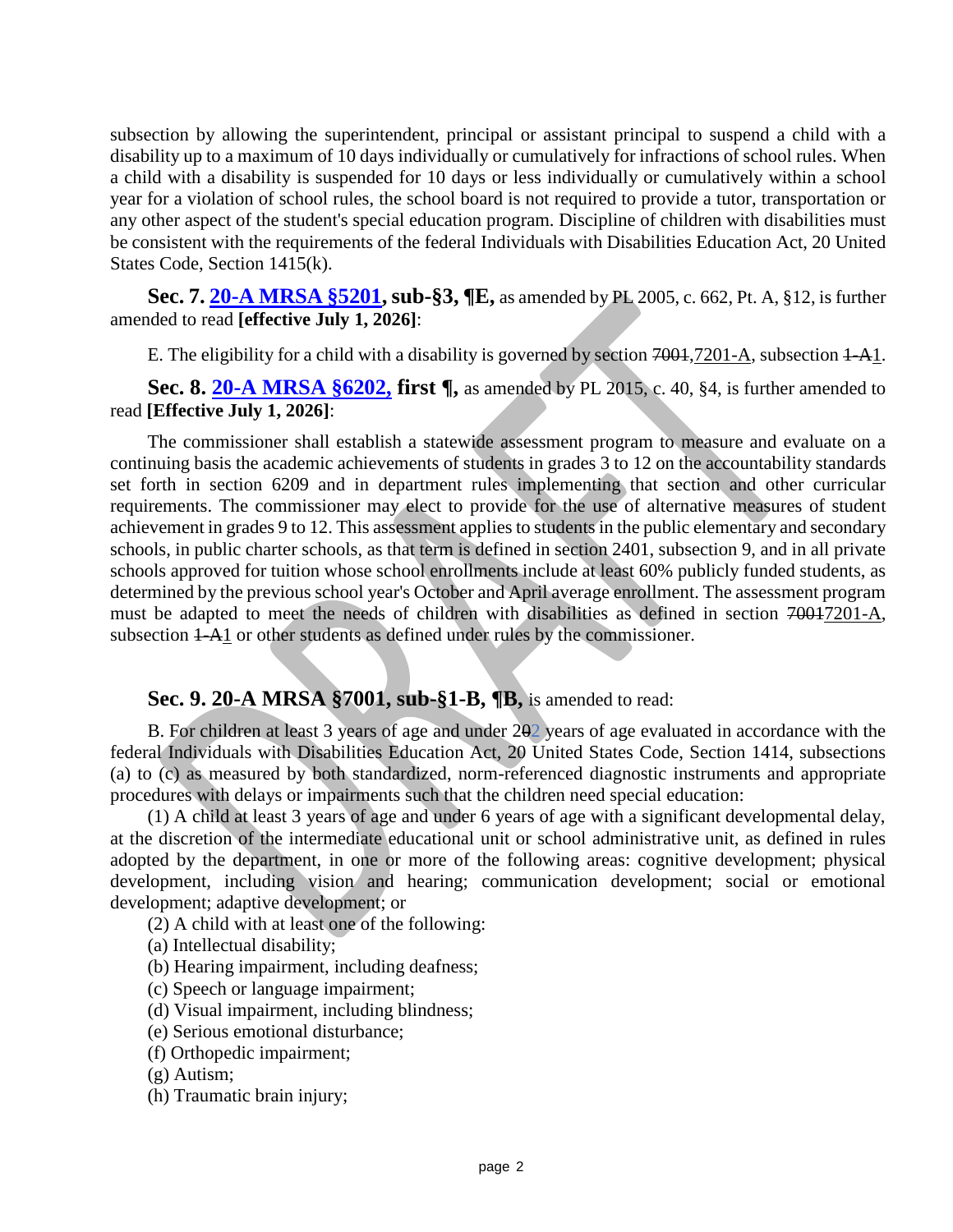subsection by allowing the superintendent, principal or assistant principal to suspend a child with a disability up to a maximum of 10 days individually or cumulatively for infractions of school rules. When a child with a disability is suspended for 10 days or less individually or cumulatively within a school year for a violation of school rules, the school board is not required to provide a tutor, transportation or any other aspect of the student's special education program. Discipline of children with disabilities must be consistent with the requirements of the federal Individuals with Disabilities Education Act, 20 United States Code, Section 1415(k).

**Sec. 7. [20-A MRSA §5201,](https://legislature.maine.gov/legis/statutes/20-A/title20-Asec5201.html) sub-§3, ¶E,** as amended by PL 2005, c. 662, Pt. A, §12, is further amended to read **[effective July 1, 2026]**:

E. The eligibility for a child with a disability is governed by section  $7001,7201-A$ , subsection  $1-A1$ .

**Sec. 8. [20-A MRSA §6202,](https://legislature.maine.gov/legis/statutes/20-A/title20-Asec6202.html) first ¶,** as amended by PL 2015, c. 40, §4, is further amended to read **[Effective July 1, 2026]**:

The commissioner shall establish a statewide assessment program to measure and evaluate on a continuing basis the academic achievements of students in grades 3 to 12 on the accountability standards set forth in section 6209 and in department rules implementing that section and other curricular requirements. The commissioner may elect to provide for the use of alternative measures of student achievement in grades 9 to 12. This assessment applies to students in the public elementary and secondary schools, in public charter schools, as that term is defined in section 2401, subsection 9, and in all private schools approved for tuition whose school enrollments include at least 60% publicly funded students, as determined by the previous school year's October and April average enrollment. The assessment program must be adapted to meet the needs of children with disabilities as defined in section 70017201-A, subsection  $1-A1$  or other students as defined under rules by the commissioner.

#### **Sec. 9. 20-A MRSA §7001, sub-§1-B, ¶B,** is amended to read:

B. For children at least 3 years of age and under 202 years of age evaluated in accordance with the federal Individuals with Disabilities Education Act, 20 United States Code, Section 1414, subsections (a) to (c) as measured by both standardized, norm-referenced diagnostic instruments and appropriate procedures with delays or impairments such that the children need special education:

(1) A child at least 3 years of age and under 6 years of age with a significant developmental delay, at the discretion of the intermediate educational unit or school administrative unit, as defined in rules adopted by the department, in one or more of the following areas: cognitive development; physical development, including vision and hearing; communication development; social or emotional development; adaptive development; or

(2) A child with at least one of the following:

(a) Intellectual disability;

- (b) Hearing impairment, including deafness;
- (c) Speech or language impairment;
- (d) Visual impairment, including blindness;
- (e) Serious emotional disturbance;
- (f) Orthopedic impairment;

(g) Autism;

(h) Traumatic brain injury;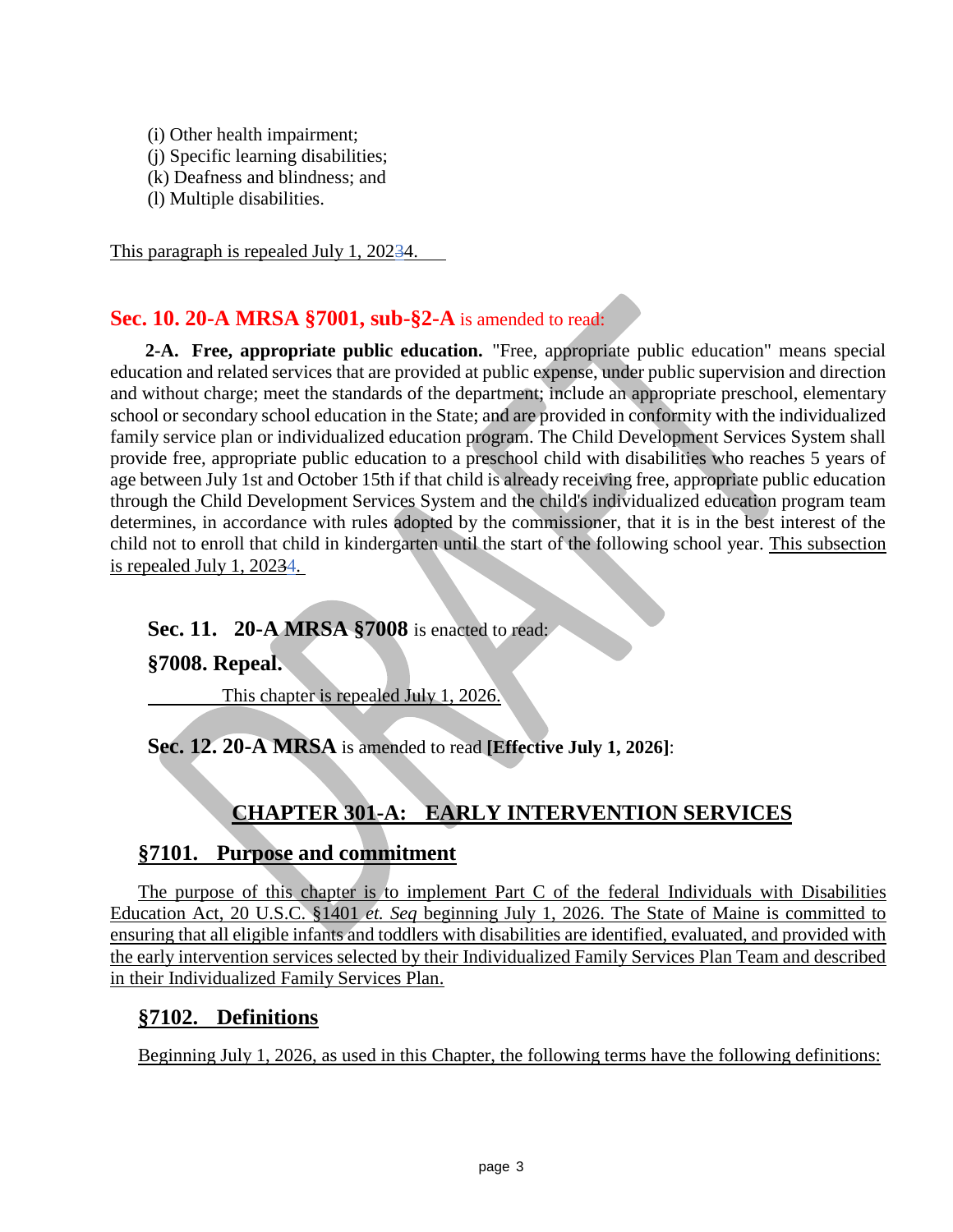- (i) Other health impairment;
- (j) Specific learning disabilities;
- (k) Deafness and blindness; and
- (l) Multiple disabilities.

This paragraph is repealed July 1, 20234.

## **Sec. 10. 20-A MRSA §7001, sub-§2-A** is amended to read:

**2-A. Free, appropriate public education.** "Free, appropriate public education" means special education and related services that are provided at public expense, under public supervision and direction and without charge; meet the standards of the department; include an appropriate preschool, elementary school or secondary school education in the State; and are provided in conformity with the individualized family service plan or individualized education program. The Child Development Services System shall provide free, appropriate public education to a preschool child with disabilities who reaches 5 years of age between July 1st and October 15th if that child is already receiving free, appropriate public education through the Child Development Services System and the child's individualized education program team determines, in accordance with rules adopted by the commissioner, that it is in the best interest of the child not to enroll that child in kindergarten until the start of the following school year. This subsection is repealed July 1, 20234.

#### **Sec. 11. 20-A MRSA §7008** is enacted to read:

#### **§7008. Repeal.**

This chapter is repealed July 1, 2026.

**Sec. 12. 20-A MRSA** is amended to read **[Effective July 1, 2026]**:

# **CHAPTER 301-A: EARLY INTERVENTION SERVICES**

## **§7101. Purpose and commitment**

The purpose of this chapter is to implement Part C of the federal Individuals with Disabilities Education Act, 20 U.S.C. §1401 *et. Seq* beginning July 1, 2026. The State of Maine is committed to ensuring that all eligible infants and toddlers with disabilities are identified, evaluated, and provided with the early intervention services selected by their Individualized Family Services Plan Team and described in their Individualized Family Services Plan.

## **§7102. Definitions**

Beginning July 1, 2026, as used in this Chapter, the following terms have the following definitions: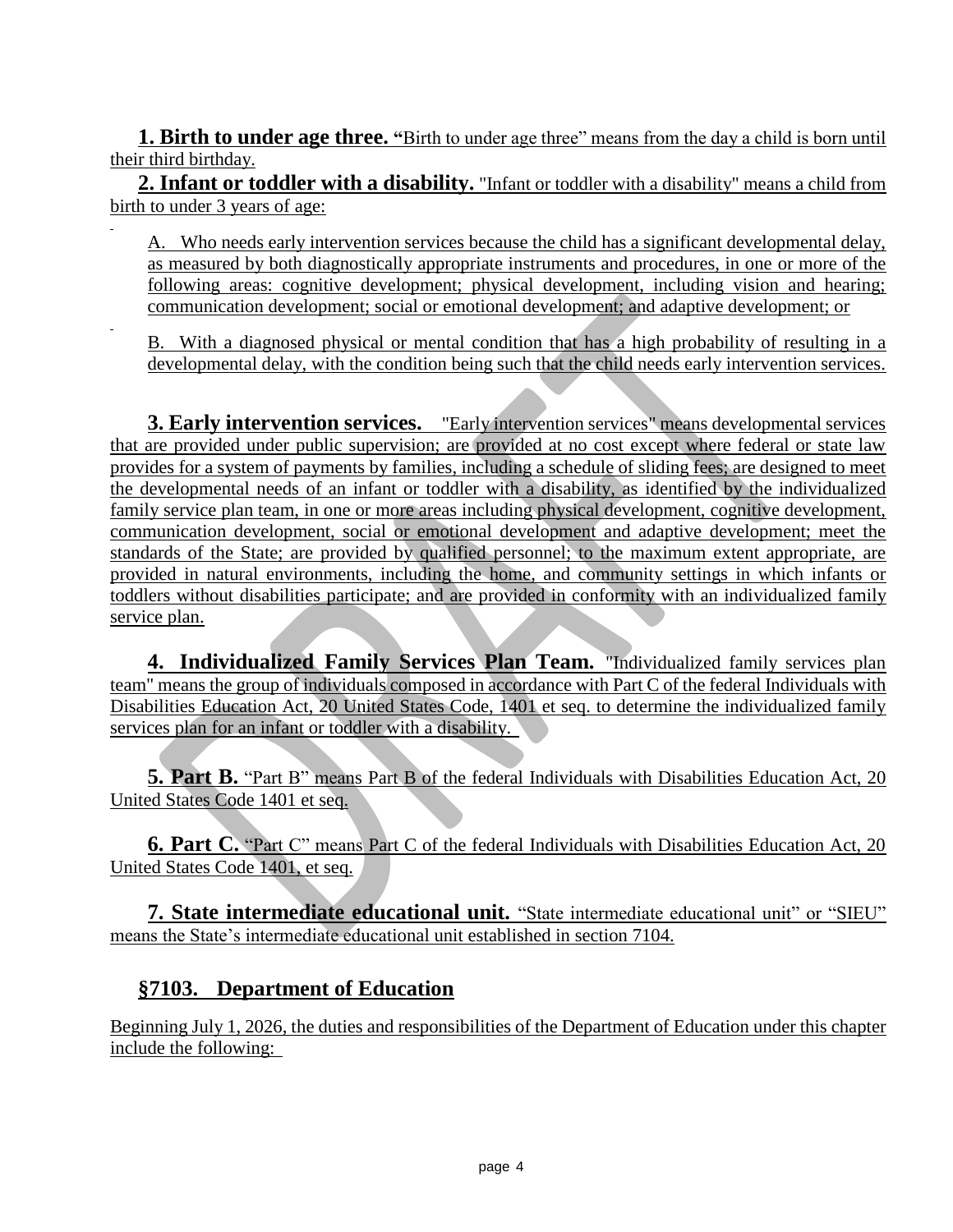**1. Birth to under age three.** "Birth to under age three" means from the day a child is born until their third birthday.

**2. Infant or toddler with a disability.** "Infant or toddler with a disability" means a child from birth to under 3 years of age:

A. Who needs early intervention services because the child has a significant developmental delay, as measured by both diagnostically appropriate instruments and procedures, in one or more of the following areas: cognitive development; physical development, including vision and hearing; communication development; social or emotional development; and adaptive development; or

B. With a diagnosed physical or mental condition that has a high probability of resulting in a developmental delay, with the condition being such that the child needs early intervention services.

**3. Early intervention services.** "Early intervention services" means developmental services that are provided under public supervision; are provided at no cost except where federal or state law provides for a system of payments by families, including a schedule of sliding fees; are designed to meet the developmental needs of an infant or toddler with a disability, as identified by the individualized family service plan team, in one or more areas including physical development, cognitive development, communication development, social or emotional development and adaptive development; meet the standards of the State; are provided by qualified personnel; to the maximum extent appropriate, are provided in natural environments, including the home, and community settings in which infants or toddlers without disabilities participate; and are provided in conformity with an individualized family service plan.

**4. Individualized Family Services Plan Team.** "Individualized family services plan team" means the group of individuals composed in accordance with Part C of the federal Individuals with Disabilities Education Act, 20 United States Code, 1401 et seq. to determine the individualized family services plan for an infant or toddler with a disability.

**5. Part B.** "Part B" means Part B of the federal Individuals with Disabilities Education Act, 20 United States Code 1401 et seq.

**6. Part C.** "Part C" means Part C of the federal Individuals with Disabilities Education Act, 20 United States Code 1401, et seq.

**7. State intermediate educational unit.** "State intermediate educational unit" or "SIEU" means the State's intermediate educational unit established in section 7104.

## **§7103. Department of Education**

Beginning July 1, 2026, the duties and responsibilities of the Department of Education under this chapter include the following: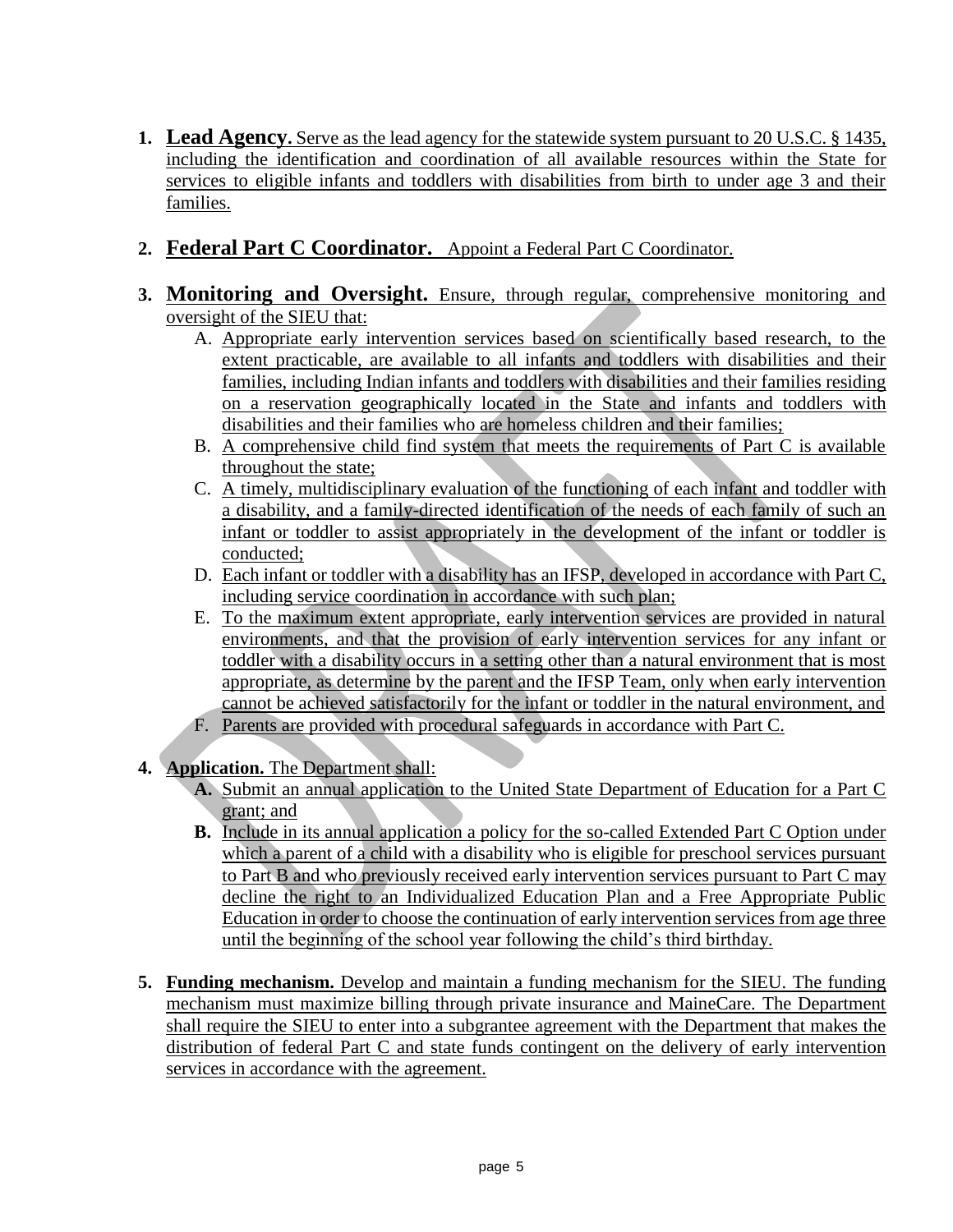- **1. Lead Agency.** Serve as the lead agency for the statewide system pursuant to 20 U.S.C. § 1435, including the identification and coordination of all available resources within the State for services to eligible infants and toddlers with disabilities from birth to under age 3 and their families.
- **2. Federal Part C Coordinator.** Appoint a Federal Part C Coordinator.
- **3. Monitoring and Oversight.** Ensure, through regular, comprehensive monitoring and oversight of the SIEU that:
	- A. Appropriate early intervention services based on scientifically based research, to the extent practicable, are available to all infants and toddlers with disabilities and their families, including Indian infants and toddlers with disabilities and their families residing on a reservation geographically located in the State and infants and toddlers with disabilities and their families who are homeless children and their families;
	- B. A comprehensive child find system that meets the requirements of Part C is available throughout the state;
	- C. A timely, multidisciplinary evaluation of the functioning of each infant and toddler with a disability, and a family-directed identification of the needs of each family of such an infant or toddler to assist appropriately in the development of the infant or toddler is conducted;
	- D. Each infant or toddler with a disability has an IFSP, developed in accordance with Part C, including service coordination in accordance with such plan;
	- E. To the maximum extent appropriate, early intervention services are provided in natural environments, and that the provision of early intervention services for any infant or toddler with a disability occurs in a setting other than a natural environment that is most appropriate, as determine by the parent and the IFSP Team, only when early intervention cannot be achieved satisfactorily for the infant or toddler in the natural environment, and
	- F. Parents are provided with procedural safeguards in accordance with Part C.
- **4. Application.** The Department shall:
	- **A.** Submit an annual application to the United State Department of Education for a Part C grant; and
	- **B.** Include in its annual application a policy for the so-called Extended Part C Option under which a parent of a child with a disability who is eligible for preschool services pursuant to Part B and who previously received early intervention services pursuant to Part C may decline the right to an Individualized Education Plan and a Free Appropriate Public Education in order to choose the continuation of early intervention services from age three until the beginning of the school year following the child's third birthday.
- **5. Funding mechanism.** Develop and maintain a funding mechanism for the SIEU. The funding mechanism must maximize billing through private insurance and MaineCare. The Department shall require the SIEU to enter into a subgrantee agreement with the Department that makes the distribution of federal Part C and state funds contingent on the delivery of early intervention services in accordance with the agreement.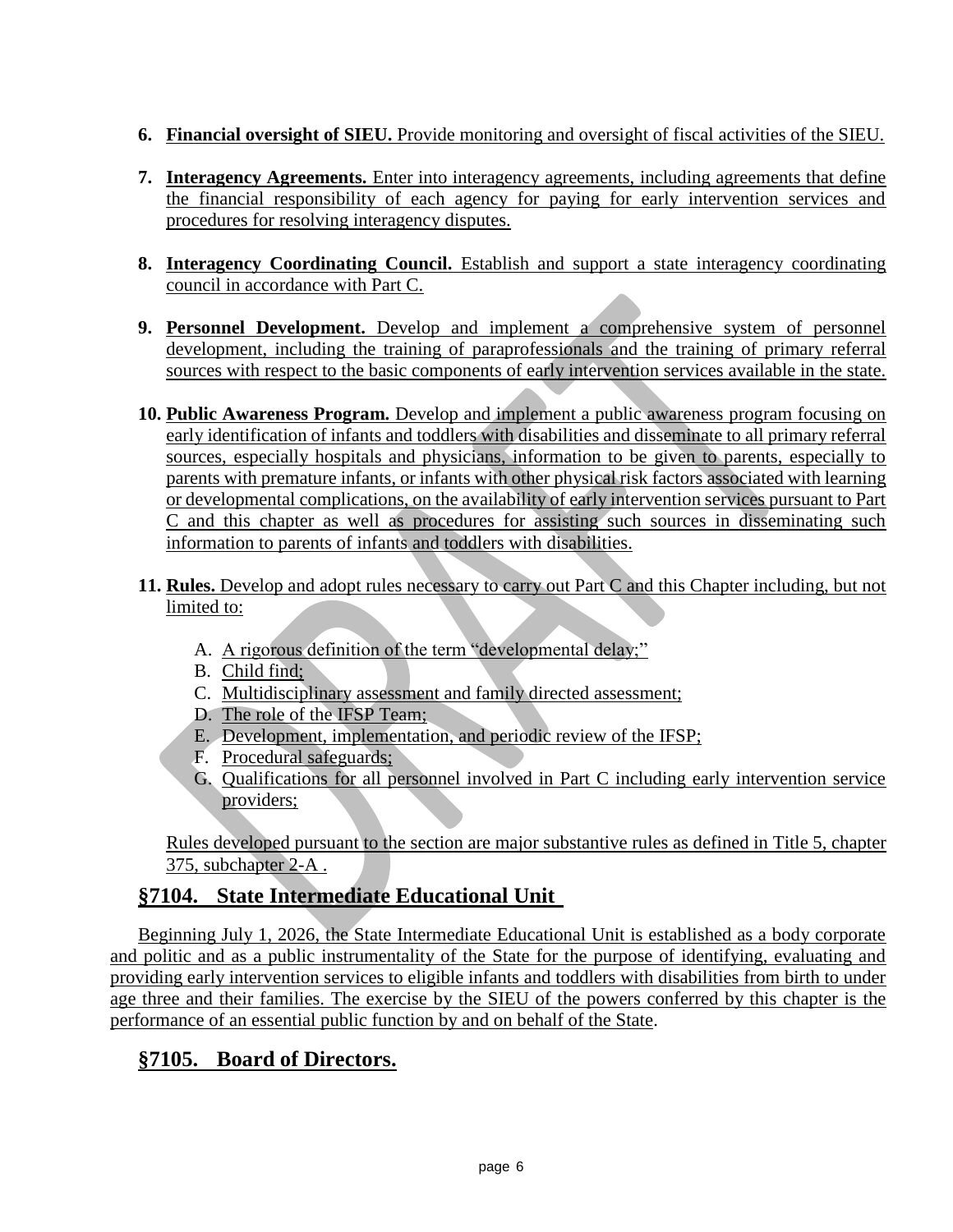- **6. Financial oversight of SIEU.** Provide monitoring and oversight of fiscal activities of the SIEU.
- **7. Interagency Agreements.** Enter into interagency agreements, including agreements that define the financial responsibility of each agency for paying for early intervention services and procedures for resolving interagency disputes.
- **8. Interagency Coordinating Council.** Establish and support a state interagency coordinating council in accordance with Part C.
- **9. Personnel Development.** Develop and implement a comprehensive system of personnel development, including the training of paraprofessionals and the training of primary referral sources with respect to the basic components of early intervention services available in the state.
- **10. Public Awareness Program.** Develop and implement a public awareness program focusing on early identification of infants and toddlers with disabilities and disseminate to all primary referral sources, especially hospitals and physicians, information to be given to parents, especially to parents with premature infants, or infants with other physical risk factors associated with learning or developmental complications, on the availability of early intervention services pursuant to Part C and this chapter as well as procedures for assisting such sources in disseminating such information to parents of infants and toddlers with disabilities.
- **11. Rules.** Develop and adopt rules necessary to carry out Part C and this Chapter including, but not limited to:
	- A. A rigorous definition of the term "developmental delay;"
	- B. Child find;
	- C. Multidisciplinary assessment and family directed assessment;
	- D. The role of the IFSP Team;
	- E. Development, implementation, and periodic review of the IFSP;
	- F. Procedural safeguards;
	- G. Qualifications for all personnel involved in Part C including early intervention service providers;

Rules developed pursuant to the section are major substantive rules as defined in Title 5, chapter 375, subchapter 2-A .

# **§7104. State Intermediate Educational Unit**

Beginning July 1, 2026, the State Intermediate Educational Unit is established as a body corporate and politic and as a public instrumentality of the State for the purpose of identifying, evaluating and providing early intervention services to eligible infants and toddlers with disabilities from birth to under age three and their families. The exercise by the SIEU of the powers conferred by this chapter is the performance of an essential public function by and on behalf of the State.

# **§7105. Board of Directors.**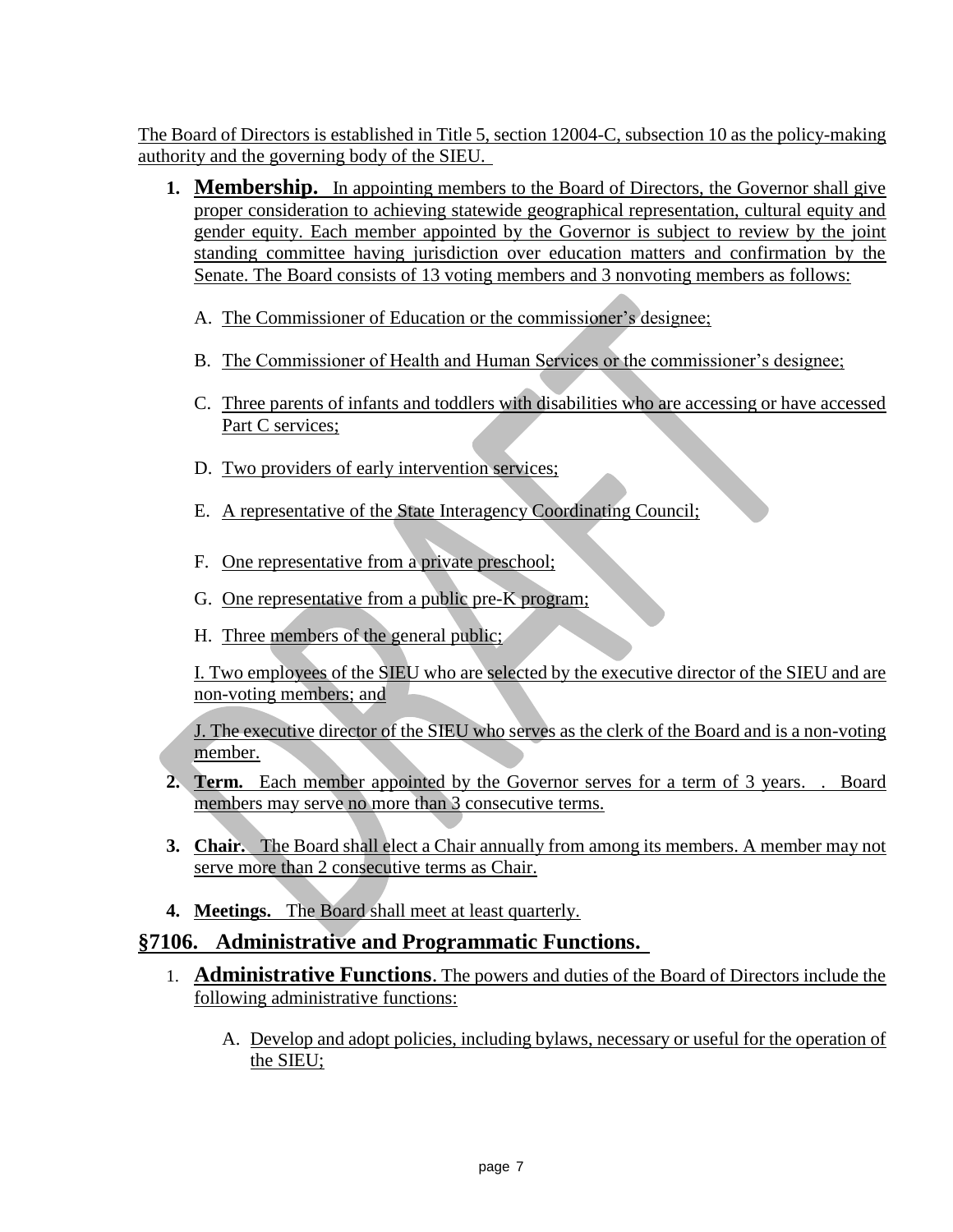The Board of Directors is established in Title 5, section 12004-C, subsection 10 as the policy-making authority and the governing body of the SIEU.

- **1. Membership.** In appointing members to the Board of Directors, the Governor shall give proper consideration to achieving statewide geographical representation, cultural equity and gender equity. Each member appointed by the Governor is subject to review by the joint standing committee having jurisdiction over education matters and confirmation by the Senate. The Board consists of 13 voting members and 3 nonvoting members as follows:
	- A. The Commissioner of Education or the commissioner's designee;
	- B. The Commissioner of Health and Human Services or the commissioner's designee;
	- C. Three parents of infants and toddlers with disabilities who are accessing or have accessed Part C services;
	- D. Two providers of early intervention services;
	- E. A representative of the State Interagency Coordinating Council;
	- F. One representative from a private preschool;
	- G. One representative from a public pre-K program;
	- H. Three members of the general public;

I. Two employees of the SIEU who are selected by the executive director of the SIEU and are non-voting members; and

J. The executive director of the SIEU who serves as the clerk of the Board and is a non-voting member.

- **2. Term.** Each member appointed by the Governor serves for a term of 3 years. . Board members may serve no more than 3 consecutive terms.
- **3. Chair.** The Board shall elect a Chair annually from among its members. A member may not serve more than 2 consecutive terms as Chair.
- **4. Meetings.** The Board shall meet at least quarterly.

#### **§7106. Administrative and Programmatic Functions.**

- 1. **Administrative Functions**. The powers and duties of the Board of Directors include the following administrative functions:
	- A. Develop and adopt policies, including bylaws, necessary or useful for the operation of the SIEU;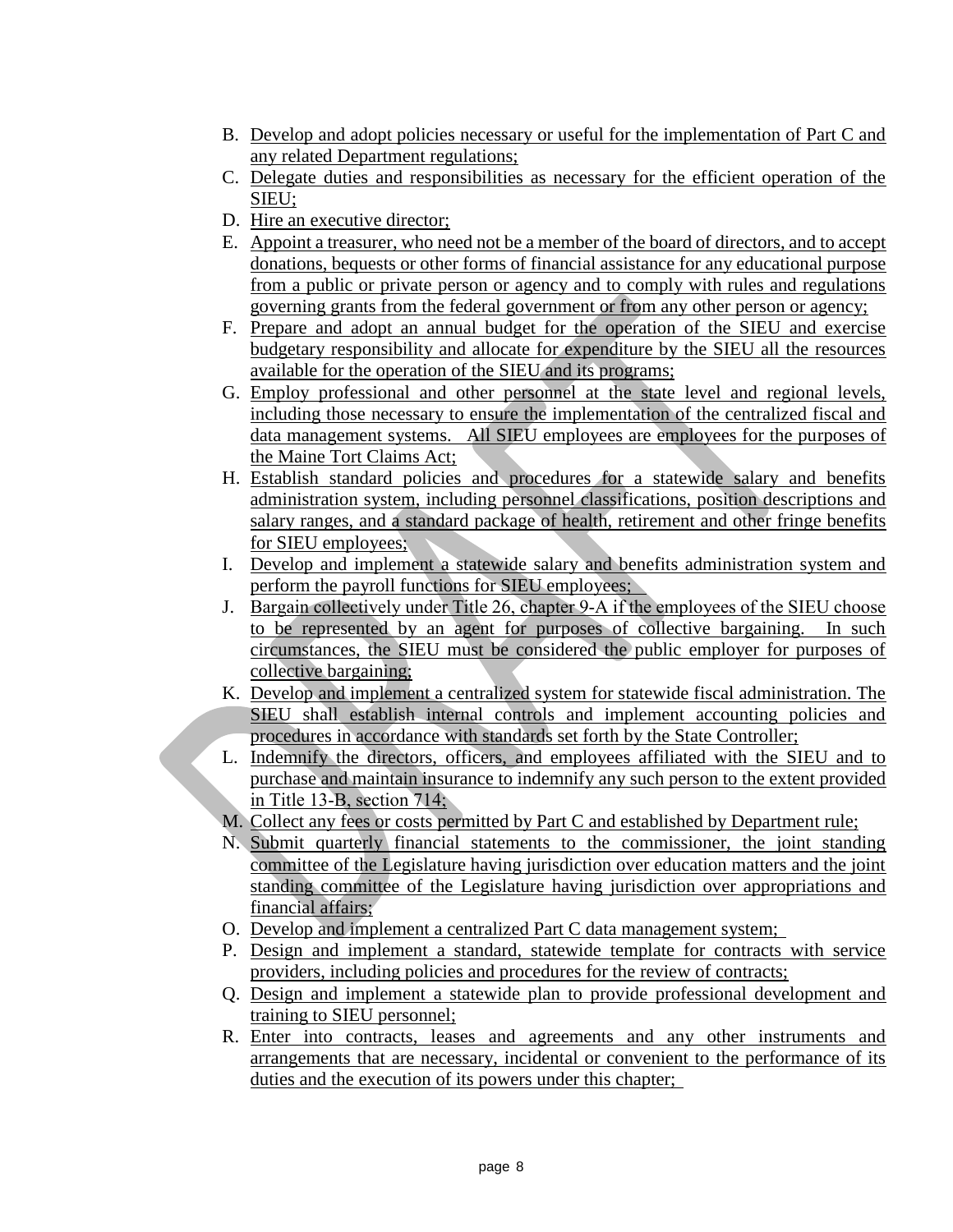- B. Develop and adopt policies necessary or useful for the implementation of Part C and any related Department regulations;
- C. Delegate duties and responsibilities as necessary for the efficient operation of the SIEU;
- D. Hire an executive director;
- E. Appoint a treasurer, who need not be a member of the board of directors, and to accept donations, bequests or other forms of financial assistance for any educational purpose from a public or private person or agency and to comply with rules and regulations governing grants from the federal government or from any other person or agency;
- F. Prepare and adopt an annual budget for the operation of the SIEU and exercise budgetary responsibility and allocate for expenditure by the SIEU all the resources available for the operation of the SIEU and its programs;
- G. Employ professional and other personnel at the state level and regional levels, including those necessary to ensure the implementation of the centralized fiscal and data management systems. All SIEU employees are employees for the purposes of the Maine Tort Claims Act;
- H. Establish standard policies and procedures for a statewide salary and benefits administration system, including personnel classifications, position descriptions and salary ranges, and a standard package of health, retirement and other fringe benefits for SIEU employees;
- I. Develop and implement a statewide salary and benefits administration system and perform the payroll functions for SIEU employees;
- J. Bargain collectively under Title 26, chapter 9-A if the employees of the SIEU choose to be represented by an agent for purposes of collective bargaining. In such circumstances, the SIEU must be considered the public employer for purposes of collective bargaining;
- K. Develop and implement a centralized system for statewide fiscal administration. The SIEU shall establish internal controls and implement accounting policies and procedures in accordance with standards set forth by the State Controller;
- L. Indemnify the directors, officers, and employees affiliated with the SIEU and to purchase and maintain insurance to indemnify any such person to the extent provided in Title 13‑B, section 714;
- M. Collect any fees or costs permitted by Part C and established by Department rule;
- N. Submit quarterly financial statements to the commissioner, the joint standing committee of the Legislature having jurisdiction over education matters and the joint standing committee of the Legislature having jurisdiction over appropriations and financial affairs;
- O. Develop and implement a centralized Part C data management system;
- P. Design and implement a standard, statewide template for contracts with service providers, including policies and procedures for the review of contracts;
- Q. Design and implement a statewide plan to provide professional development and training to SIEU personnel;
- R. Enter into contracts, leases and agreements and any other instruments and arrangements that are necessary, incidental or convenient to the performance of its duties and the execution of its powers under this chapter;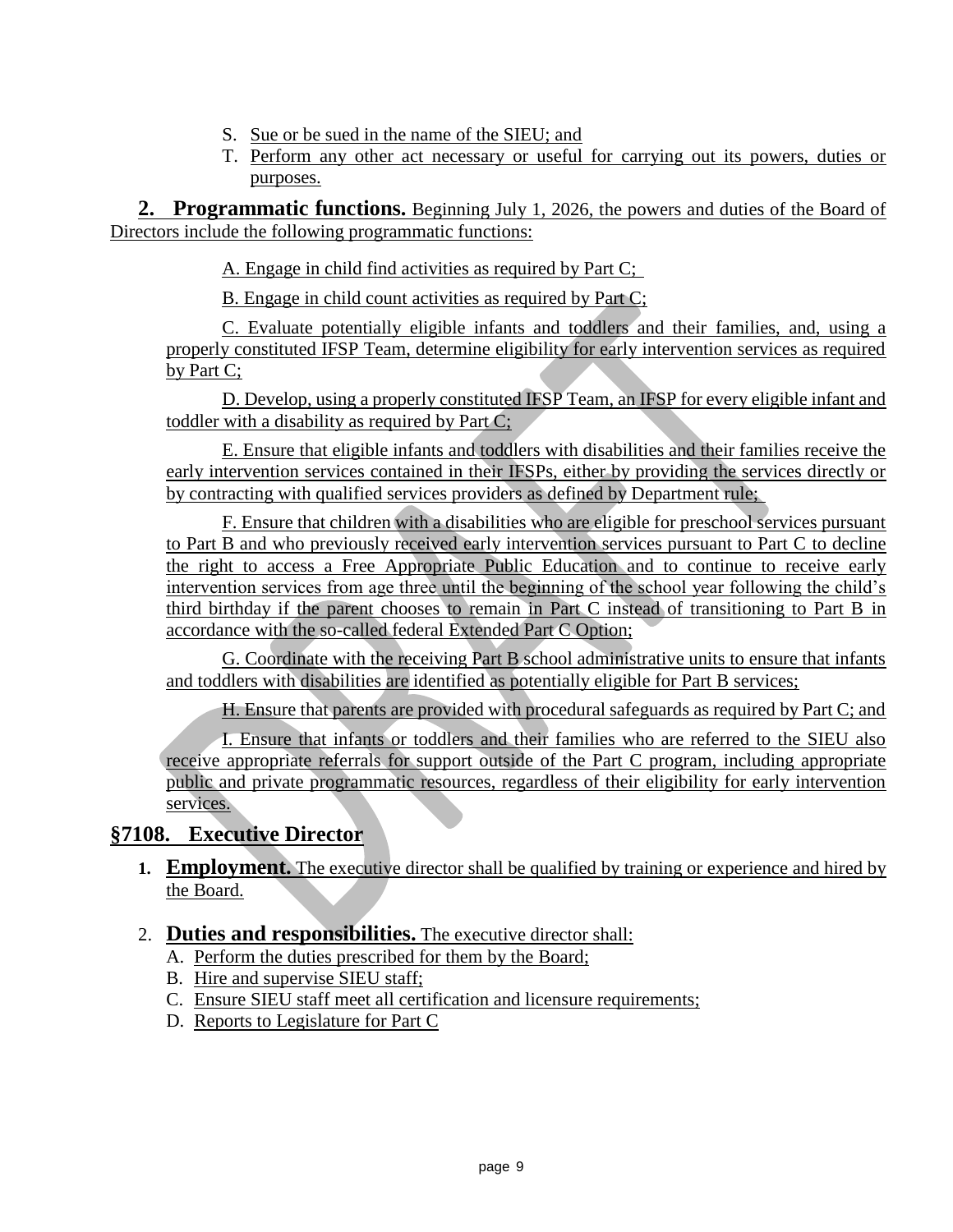- S. Sue or be sued in the name of the SIEU; and
- T. Perform any other act necessary or useful for carrying out its powers, duties or purposes.

**2. Programmatic functions.** Beginning July 1, 2026, the powers and duties of the Board of Directors include the following programmatic functions:

A. Engage in child find activities as required by Part C;

B. Engage in child count activities as required by Part C;

C. Evaluate potentially eligible infants and toddlers and their families, and, using a properly constituted IFSP Team, determine eligibility for early intervention services as required by Part C;

D. Develop, using a properly constituted IFSP Team, an IFSP for every eligible infant and toddler with a disability as required by Part C;

E. Ensure that eligible infants and toddlers with disabilities and their families receive the early intervention services contained in their IFSPs, either by providing the services directly or by contracting with qualified services providers as defined by Department rule;

F. Ensure that children with a disabilities who are eligible for preschool services pursuant to Part B and who previously received early intervention services pursuant to Part C to decline the right to access a Free Appropriate Public Education and to continue to receive early intervention services from age three until the beginning of the school year following the child's third birthday if the parent chooses to remain in Part C instead of transitioning to Part B in accordance with the so-called federal Extended Part C Option;

G. Coordinate with the receiving Part B school administrative units to ensure that infants and toddlers with disabilities are identified as potentially eligible for Part B services;

H. Ensure that parents are provided with procedural safeguards as required by Part C; and

I. Ensure that infants or toddlers and their families who are referred to the SIEU also receive appropriate referrals for support outside of the Part C program, including appropriate public and private programmatic resources, regardless of their eligibility for early intervention services.

## **§7108. Executive Director**

- **1. Employment.** The executive director shall be qualified by training or experience and hired by the Board.
- 2. **Duties and responsibilities.** The executive director shall:
	- A. Perform the duties prescribed for them by the Board;
	- B. Hire and supervise SIEU staff;
	- C. Ensure SIEU staff meet all certification and licensure requirements;
	- D. Reports to Legislature for Part C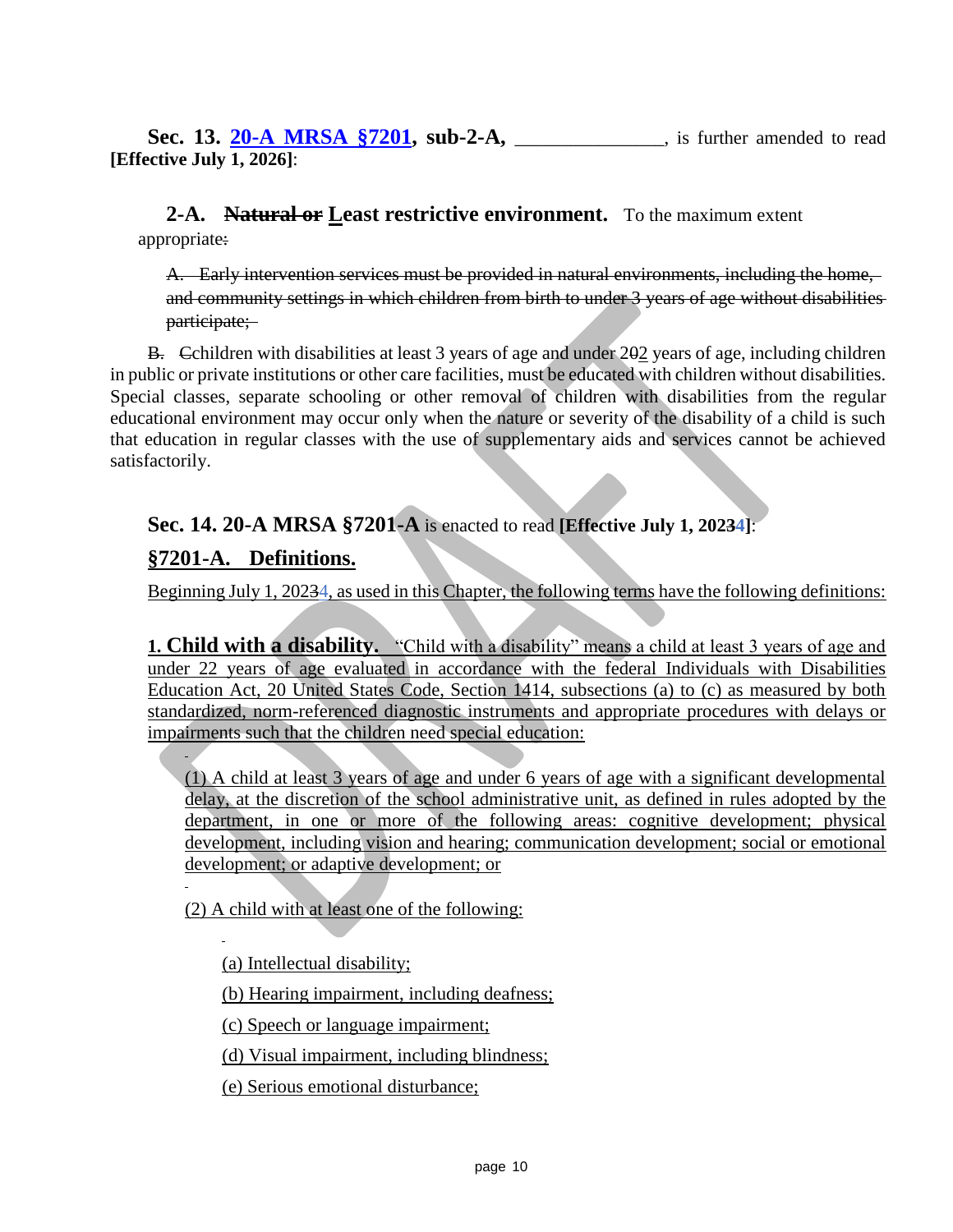**Sec. 13. [20-A MRSA §7201,](https://legislature.maine.gov/legis/statutes/20-A/title20-Asec7201.html) sub-2-A,** is further amended to read **[Effective July 1, 2026]**:

**2-A. Natural or Least restrictive environment.** To the maximum extent appropriate:

A. Early intervention services must be provided in natural environments, including the home, and community settings in which children from birth to under 3 years of age without disabilities participate;

B. Cchildren with disabilities at least 3 years of age and under 202 years of age, including children in public or private institutions or other care facilities, must be educated with children without disabilities. Special classes, separate schooling or other removal of children with disabilities from the regular educational environment may occur only when the nature or severity of the disability of a child is such that education in regular classes with the use of supplementary aids and services cannot be achieved satisfactorily.

### **Sec. 14. 20-A MRSA §7201-A** is enacted to read **[Effective July 1, 20234]**:

#### **§7201-A. Definitions.**

Beginning July 1, 20234, as used in this Chapter, the following terms have the following definitions:

**1. Child with a disability.** "Child with a disability" means a child at least 3 years of age and under 22 years of age evaluated in accordance with the federal Individuals with Disabilities Education Act, 20 United States Code, Section 1414, subsections (a) to (c) as measured by both standardized, norm-referenced diagnostic instruments and appropriate procedures with delays or impairments such that the children need special education:

(1) A child at least 3 years of age and under 6 years of age with a significant developmental delay, at the discretion of the school administrative unit, as defined in rules adopted by the department, in one or more of the following areas: cognitive development; physical development, including vision and hearing; communication development; social or emotional development; or adaptive development; or

(2) A child with at least one of the following:

(a) Intellectual disability;

(b) Hearing impairment, including deafness;

(c) Speech or language impairment;

(d) Visual impairment, including blindness;

(e) Serious emotional disturbance;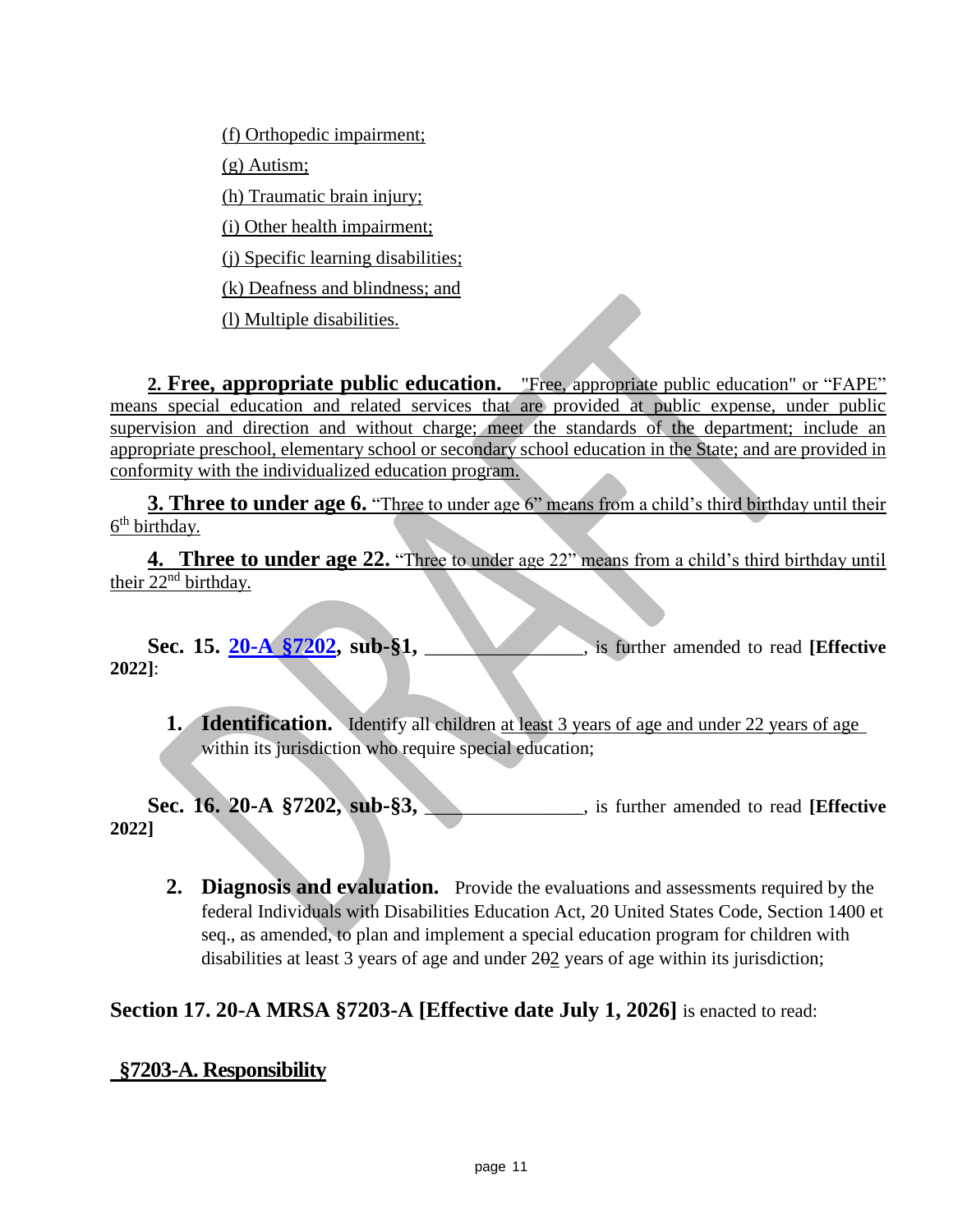(f) Orthopedic impairment; (g) Autism; (h) Traumatic brain injury; (i) Other health impairment; (j) Specific learning disabilities; (k) Deafness and blindness; and

(l) Multiple disabilities.

**2. Free, appropriate public education.** "Free, appropriate public education" or "FAPE" means special education and related services that are provided at public expense, under public supervision and direction and without charge; meet the standards of the department; include an appropriate preschool, elementary school or secondary school education in the State; and are provided in conformity with the individualized education program.

**3. Three to under age 6.** "Three to under age 6" means from a child's third birthday until their 6<sup>th</sup> birthday.

**4. Three to under age 22.** "Three to under age 22" means from a child's third birthday until their 22nd birthday.

Sec. 15. [20-A §7202,](https://legislature.maine.gov/legis/statutes/20-A/title20-Asec7202.html) sub-§1, \_\_\_\_\_\_\_\_\_\_, is further amended to read **[Effective 2022]**:

**1. Identification.** Identify all children at least 3 years of age and under 22 years of age within its jurisdiction who require special education;

**Sec. 16. 20-A §7202, sub-§3,** \_\_\_\_\_\_\_\_\_\_\_\_, is further amended to read **[Effective 2022]**

**2. Diagnosis and evaluation.** Provide the evaluations and assessments required by the federal Individuals with Disabilities Education Act, 20 United States Code, Section 1400 et seq., as amended, to plan and implement a special education program for children with disabilities at least 3 years of age and under 202 years of age within its jurisdiction;

## **Section 17. 20-A MRSA §7203-A [Effective date July 1, 2026]** is enacted to read:

## **§7203-A. Responsibility**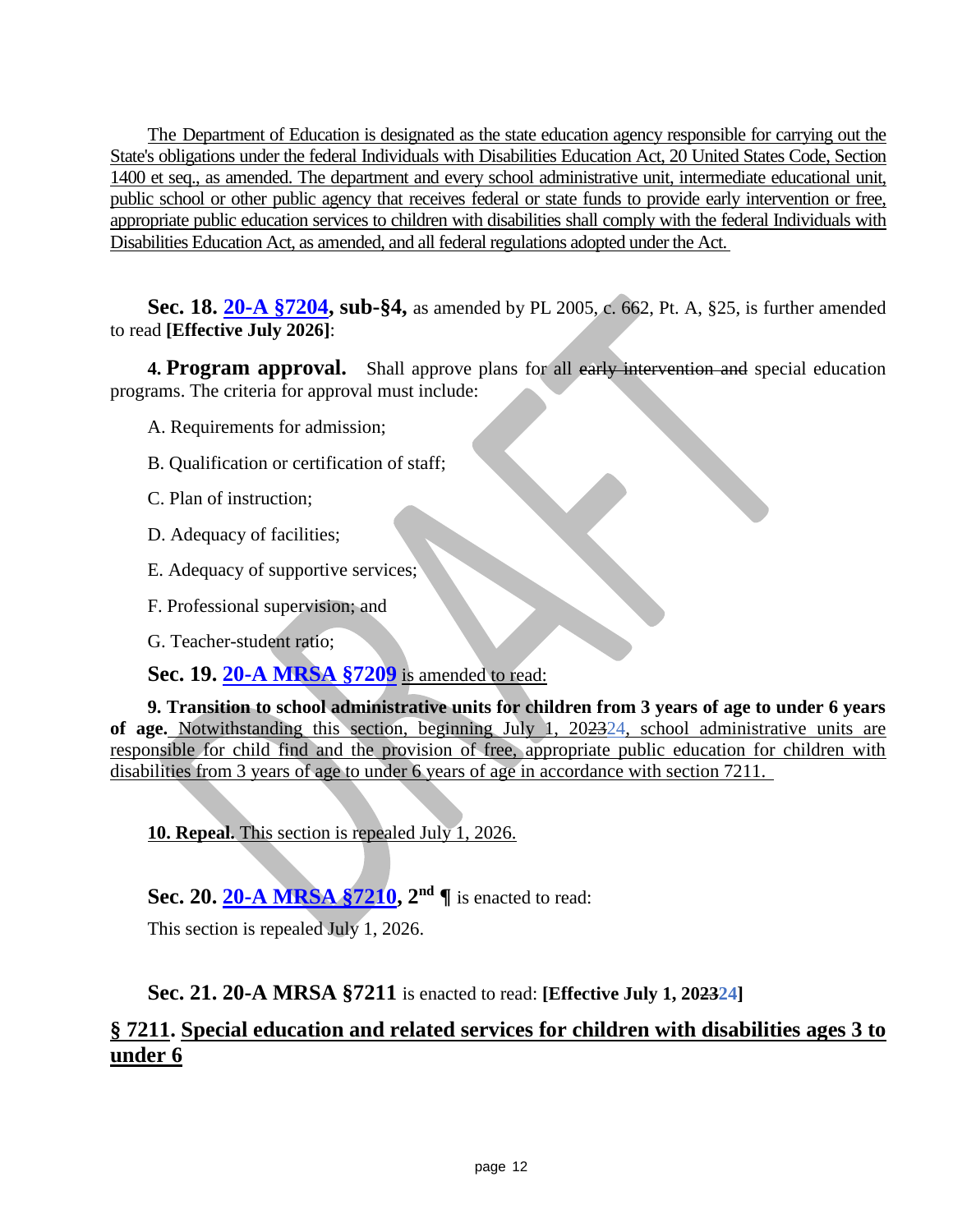The Department of Education is designated as the state education agency responsible for carrying out the State's obligations under the federal Individuals with Disabilities Education Act, 20 United States Code, Section 1400 et seq., as amended. The department and every school administrative unit, intermediate educational unit, public school or other public agency that receives federal or state funds to provide early intervention or free, appropriate public education services to children with disabilities shall comply with the federal Individuals with Disabilities Education Act, as amended, and all federal regulations adopted under the Act.

**Sec. 18. [20-A §7204,](https://legislature.maine.gov/legis/statutes/20-A/title20-Asec7204.html) sub-§4,** as amended by PL 2005, c. 662, Pt. A, §25, is further amended to read **[Effective July 2026]**:

**4. Program approval.** Shall approve plans for all early intervention and special education programs. The criteria for approval must include:

- A. Requirements for admission;
- B. Qualification or certification of staff;
- C. Plan of instruction;
- D. Adequacy of facilities;
- E. Adequacy of supportive services;
- F. Professional supervision; and
- G. Teacher-student ratio;

**Sec. 19. [20-A MRSA §7209](https://legislature.maine.gov/legis/statutes/20-A/title20-Asec7209.html)** is amended to read:

**9. Transition to school administrative units for children from 3 years of age to under 6 years of age.** Notwithstanding this section, beginning July 1, 202324, school administrative units are responsible for child find and the provision of free, appropriate public education for children with disabilities from 3 years of age to under 6 years of age in accordance with section 7211.

**10. Repeal.** This section is repealed July 1, 2026.

**Sec. 20. [20-A MRSA §7210,](https://legislature.maine.gov/legis/statutes/20-A/title20-Asec7210.html) 2 nd ¶** is enacted to read:

This section is repealed July 1, 2026.

**Sec. 21. 20-A MRSA §7211** is enacted to read: **[Effective July 1, 202324]**

## **§ 7211. Special education and related services for children with disabilities ages 3 to under 6**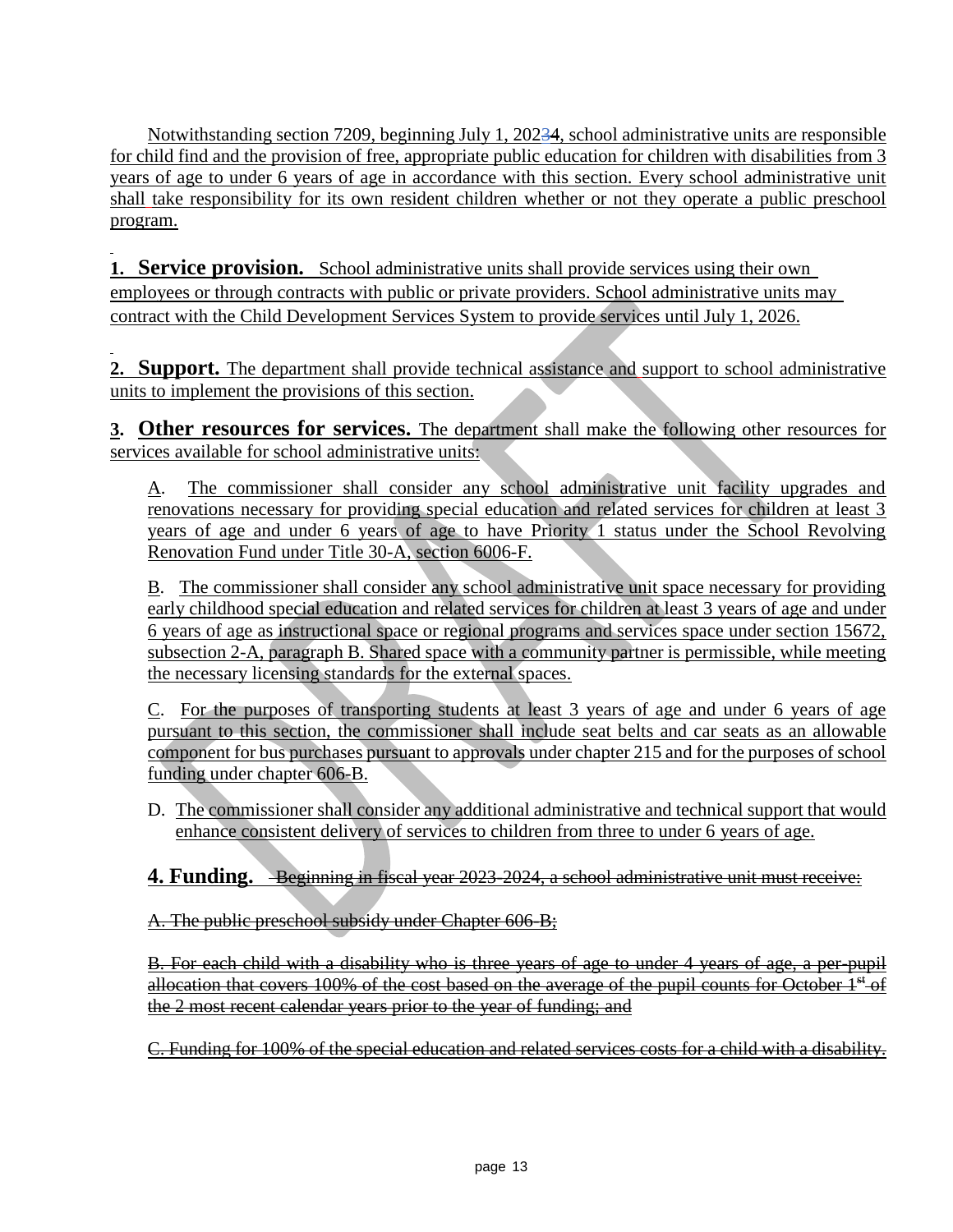Notwithstanding section 7209, beginning July 1, 20234, school administrative units are responsible for child find and the provision of free, appropriate public education for children with disabilities from 3 years of age to under 6 years of age in accordance with this section. Every school administrative unit shall take responsibility for its own resident children whether or not they operate a public preschool program.

**1. Service provision.** School administrative units shall provide services using their own employees or through contracts with public or private providers. School administrative units may contract with the Child Development Services System to provide services until July 1, 2026.

**2. Support.** The department shall provide technical assistance and support to school administrative units to implement the provisions of this section.

**3. Other resources for services.** The department shall make the following other resources for services available for school administrative units:

A. The commissioner shall consider any school administrative unit facility upgrades and renovations necessary for providing special education and related services for children at least 3 years of age and under 6 years of age to have Priority 1 status under the School Revolving Renovation Fund under Title 30-A, section 6006-F.

B. The commissioner shall consider any school administrative unit space necessary for providing early childhood special education and related services for children at least 3 years of age and under 6 years of age as instructional space or regional programs and services space under section 15672, subsection 2-A, paragraph B. Shared space with a community partner is permissible, while meeting the necessary licensing standards for the external spaces.

C. For the purposes of transporting students at least 3 years of age and under 6 years of age pursuant to this section, the commissioner shall include seat belts and car seats as an allowable component for bus purchases pursuant to approvals under chapter 215 and for the purposes of school funding under chapter 606-B.

D. The commissioner shall consider any additional administrative and technical support that would enhance consistent delivery of services to children from three to under 6 years of age.

**4. Funding.** Beginning in fiscal year 2023-2024, a school administrative unit must receive:

A. The public preschool subsidy under Chapter 606-B;

B. For each child with a disability who is three years of age to under 4 years of age, a per-pupil allocation that covers 100% of the cost based on the average of the pupil counts for October 1<sup>st</sup>-of the 2 most recent calendar years prior to the year of funding; and

C. Funding for 100% of the special education and related services costs for a child with a disability.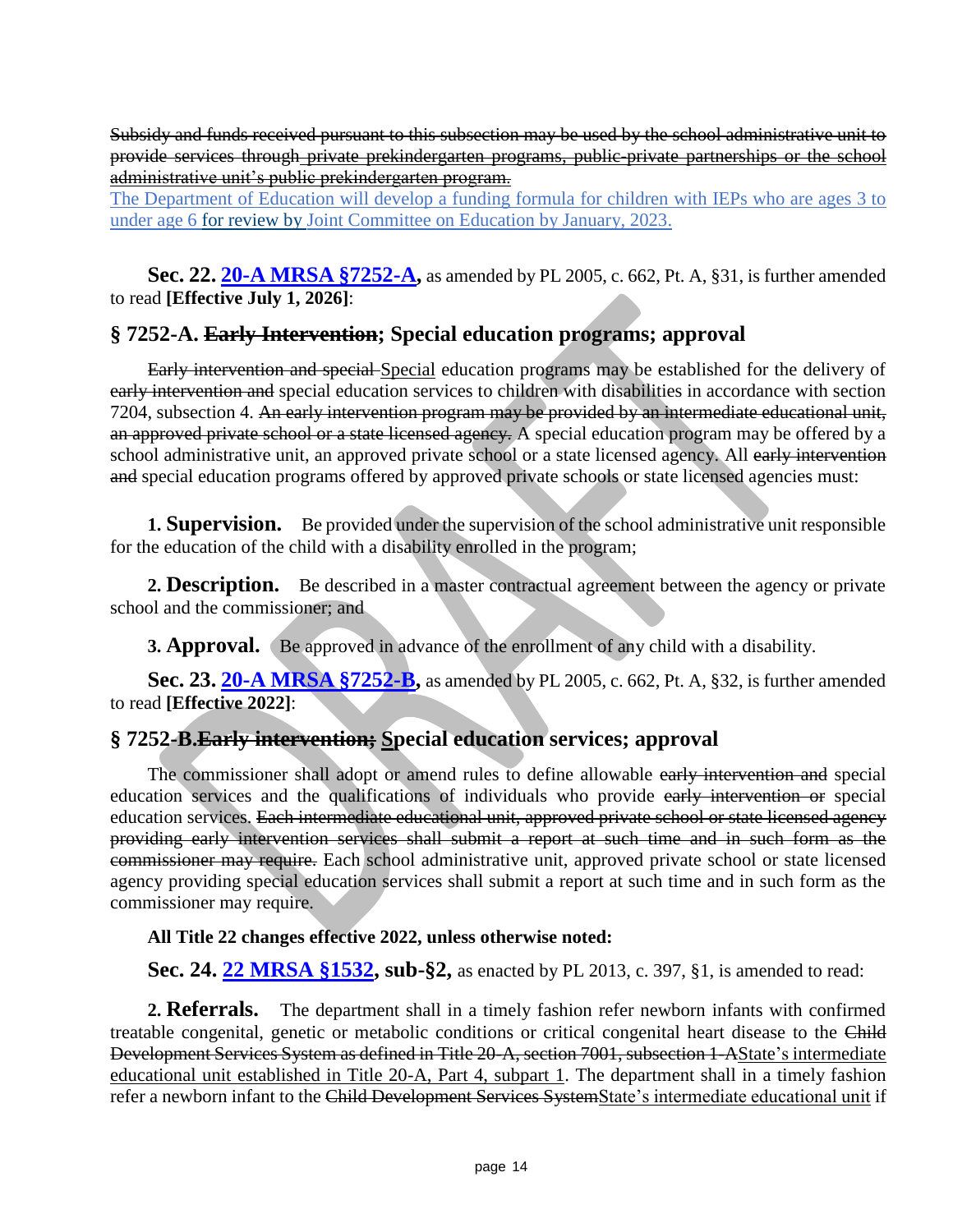Subsidy and funds received pursuant to this subsection may be used by the school administrative unit to provide services through private prekindergarten programs, public-private partnerships or the school administrative unit's public prekindergarten program.

The Department of Education will develop a funding formula for children with IEPs who are ages 3 to under age 6 for review by Joint Committee on Education by January, 2023.

**Sec. 22. [20-A MRSA §7252-A,](https://legislature.maine.gov/legis/statutes/20-A/title20-Asec7252-A.html)** as amended by PL 2005, c. 662, Pt. A, §31, is further amended to read **[Effective July 1, 2026]**:

### **§ 7252-A. Early Intervention; Special education programs; approval**

Early intervention and special Special education programs may be established for the delivery of early intervention and special education services to children with disabilities in accordance with section 7204, subsection 4. An early intervention program may be provided by an intermediate educational unit, an approved private school or a state licensed agency. A special education program may be offered by a school administrative unit, an approved private school or a state licensed agency. All early intervention and special education programs offered by approved private schools or state licensed agencies must:

**1. Supervision.** Be provided under the supervision of the school administrative unit responsible for the education of the child with a disability enrolled in the program;

**2. Description.** Be described in a master contractual agreement between the agency or private school and the commissioner; and

**3. Approval.** (Be approved in advance of the enrollment of any child with a disability.

**Sec. 23. [20-A MRSA §7252-B,](https://legislature.maine.gov/legis/statutes/20-A/title20-Asec7252-B.html)** as amended by PL 2005, c. 662, Pt. A, §32, is further amended to read **[Effective 2022]**:

## **§ 7252-B.Early intervention; Special education services; approval**

The commissioner shall adopt or amend rules to define allowable early intervention and special education services and the qualifications of individuals who provide early intervention or special education services. Each intermediate educational unit, approved private school or state licensed agency providing early intervention services shall submit a report at such time and in such form as the commissioner may require. Each school administrative unit, approved private school or state licensed agency providing special education services shall submit a report at such time and in such form as the commissioner may require.

#### **All Title 22 changes effective 2022, unless otherwise noted:**

**Sec. 24. [22 MRSA §1532,](https://legislature.maine.gov/legis/statutes/22/title22sec1532.html) sub-§2,** as enacted by PL 2013, c. 397, §1, is amended to read:

**2. Referrals.** The department shall in a timely fashion refer newborn infants with confirmed treatable congenital, genetic or metabolic conditions or critical congenital heart disease to the Child Development Services System as defined in Title 20-A, section 7001, subsection 1-AState's intermediate educational unit established in Title 20-A, Part 4, subpart 1. The department shall in a timely fashion refer a newborn infant to the Child Development Services SystemState's intermediate educational unit if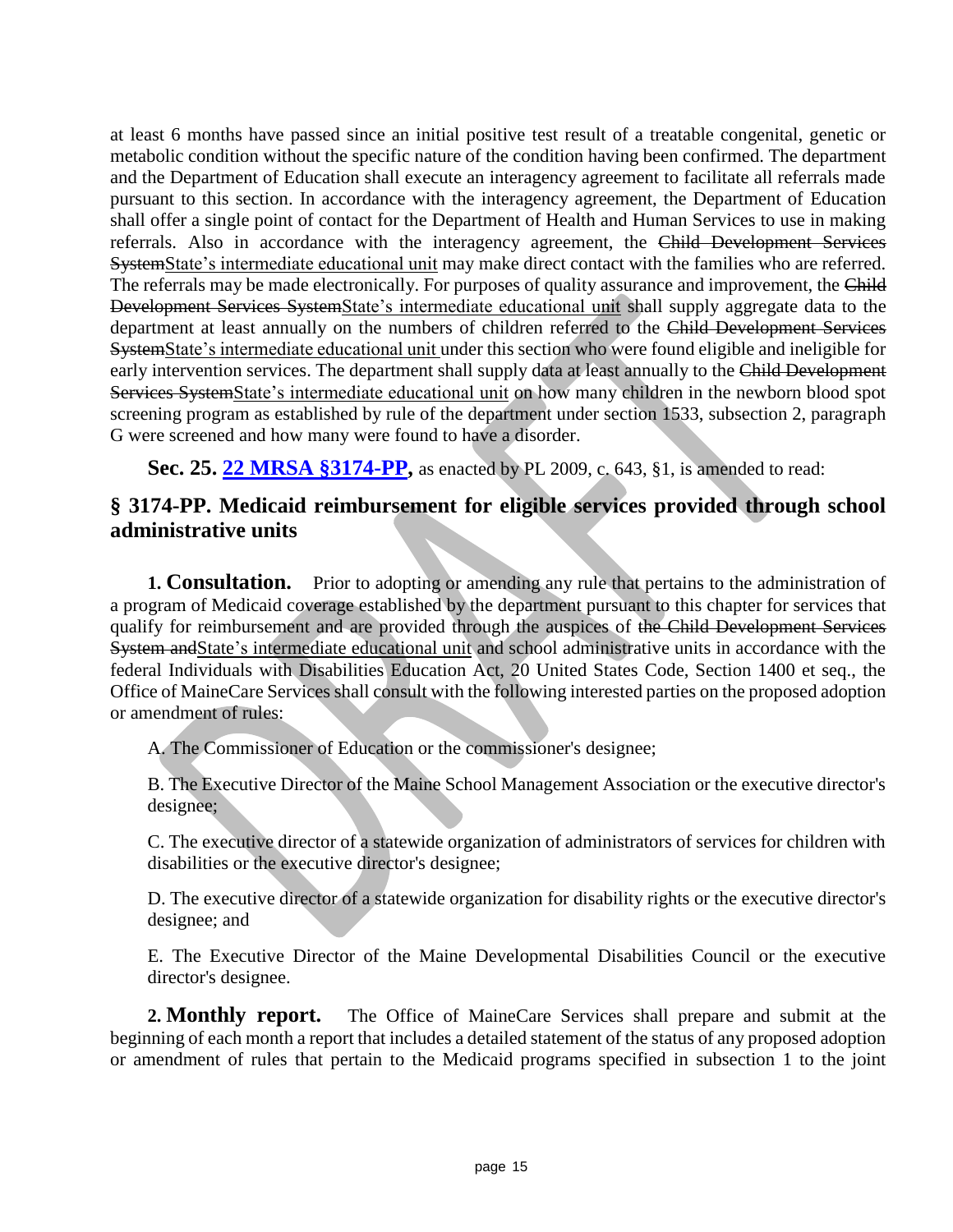at least 6 months have passed since an initial positive test result of a treatable congenital, genetic or metabolic condition without the specific nature of the condition having been confirmed. The department and the Department of Education shall execute an interagency agreement to facilitate all referrals made pursuant to this section. In accordance with the interagency agreement, the Department of Education shall offer a single point of contact for the Department of Health and Human Services to use in making referrals. Also in accordance with the interagency agreement, the Child Development Services SystemState's intermediate educational unit may make direct contact with the families who are referred. The referrals may be made electronically. For purposes of quality assurance and improvement, the Child Development Services SystemState's intermediate educational unit shall supply aggregate data to the department at least annually on the numbers of children referred to the Child Development Services SystemState's intermediate educational unit under this section who were found eligible and ineligible for early intervention services. The department shall supply data at least annually to the Child Development Services SystemState's intermediate educational unit on how many children in the newborn blood spot screening program as established by rule of the department under section 1533, subsection 2, paragraph G were screened and how many were found to have a disorder.

**Sec. 25. [22 MRSA §3174-PP,](https://legislature.maine.gov/legis/statutes/22/title22sec3174-PP.html)** as enacted by PL 2009, c. 643, §1, is amended to read:

## **§ 3174-PP. Medicaid reimbursement for eligible services provided through school administrative units**

**1. Consultation.** Prior to adopting or amending any rule that pertains to the administration of a program of Medicaid coverage established by the department pursuant to this chapter for services that qualify for reimbursement and are provided through the auspices of the Child Development Services System andState's intermediate educational unit and school administrative units in accordance with the federal Individuals with Disabilities Education Act, 20 United States Code, Section 1400 et seq., the Office of MaineCare Services shall consult with the following interested parties on the proposed adoption or amendment of rules:

A. The Commissioner of Education or the commissioner's designee;

B. The Executive Director of the Maine School Management Association or the executive director's designee;

C. The executive director of a statewide organization of administrators of services for children with disabilities or the executive director's designee;

D. The executive director of a statewide organization for disability rights or the executive director's designee; and

E. The Executive Director of the Maine Developmental Disabilities Council or the executive director's designee.

**2. Monthly report.** The Office of MaineCare Services shall prepare and submit at the beginning of each month a report that includes a detailed statement of the status of any proposed adoption or amendment of rules that pertain to the Medicaid programs specified in subsection 1 to the joint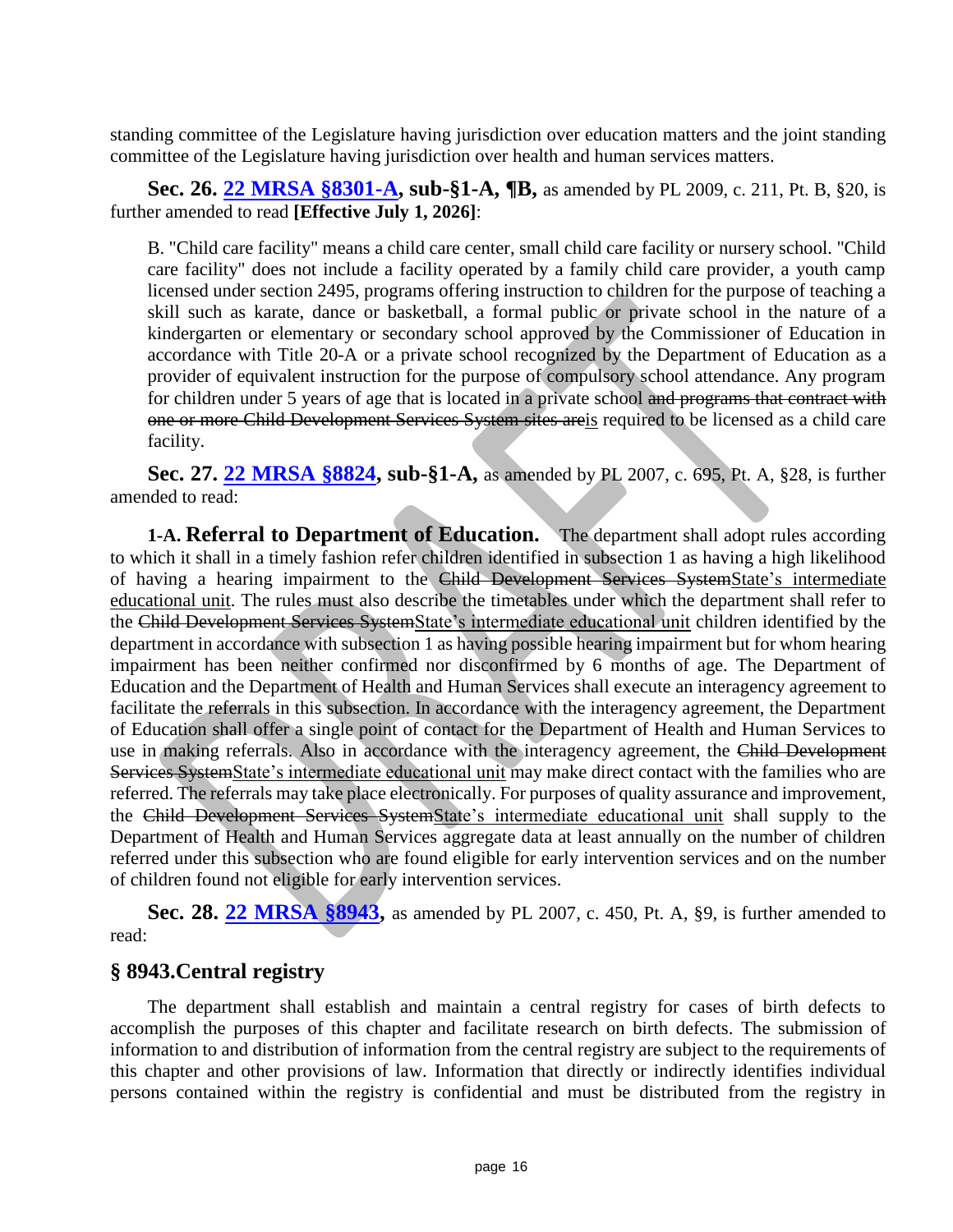standing committee of the Legislature having jurisdiction over education matters and the joint standing committee of the Legislature having jurisdiction over health and human services matters.

**Sec. 26. [22 MRSA §8301-A,](https://legislature.maine.gov/legis/statutes/22/title22sec8301-A.html) sub-§1-A, ¶B,** as amended by PL 2009, c. 211, Pt. B, §20, is further amended to read **[Effective July 1, 2026]**:

B. "Child care facility" means a child care center, small child care facility or nursery school. "Child care facility" does not include a facility operated by a family child care provider, a youth camp licensed under section 2495, programs offering instruction to children for the purpose of teaching a skill such as karate, dance or basketball, a formal public or private school in the nature of a kindergarten or elementary or secondary school approved by the Commissioner of Education in accordance with Title 20-A or a private school recognized by the Department of Education as a provider of equivalent instruction for the purpose of compulsory school attendance. Any program for children under 5 years of age that is located in a private school and programs that contract with one or more Child Development Services System sites areis required to be licensed as a child care facility.

**Sec. 27. [22 MRSA §8824,](https://legislature.maine.gov/legis/statutes/22/title22sec8824.html) sub-§1-A,** as amended by PL 2007, c. 695, Pt. A, §28, is further amended to read:

**1-A. Referral to Department of Education.** The department shall adopt rules according to which it shall in a timely fashion refer children identified in subsection 1 as having a high likelihood of having a hearing impairment to the Child Development Services SystemState's intermediate educational unit. The rules must also describe the timetables under which the department shall refer to the Child Development Services SystemState's intermediate educational unit children identified by the department in accordance with subsection 1 as having possible hearing impairment but for whom hearing impairment has been neither confirmed nor disconfirmed by 6 months of age. The Department of Education and the Department of Health and Human Services shall execute an interagency agreement to facilitate the referrals in this subsection. In accordance with the interagency agreement, the Department of Education shall offer a single point of contact for the Department of Health and Human Services to use in making referrals. Also in accordance with the interagency agreement, the Child Development Services SystemState's intermediate educational unit may make direct contact with the families who are referred. The referrals may take place electronically. For purposes of quality assurance and improvement, the Child Development Services SystemState's intermediate educational unit shall supply to the Department of Health and Human Services aggregate data at least annually on the number of children referred under this subsection who are found eligible for early intervention services and on the number of children found not eligible for early intervention services.

**Sec. 28. [22 MRSA §8943,](https://legislature.maine.gov/legis/statutes/22/title22sec8943.html)** as amended by PL 2007, c. 450, Pt. A, §9, is further amended to read:

#### **§ 8943.Central registry**

The department shall establish and maintain a central registry for cases of birth defects to accomplish the purposes of this chapter and facilitate research on birth defects. The submission of information to and distribution of information from the central registry are subject to the requirements of this chapter and other provisions of law. Information that directly or indirectly identifies individual persons contained within the registry is confidential and must be distributed from the registry in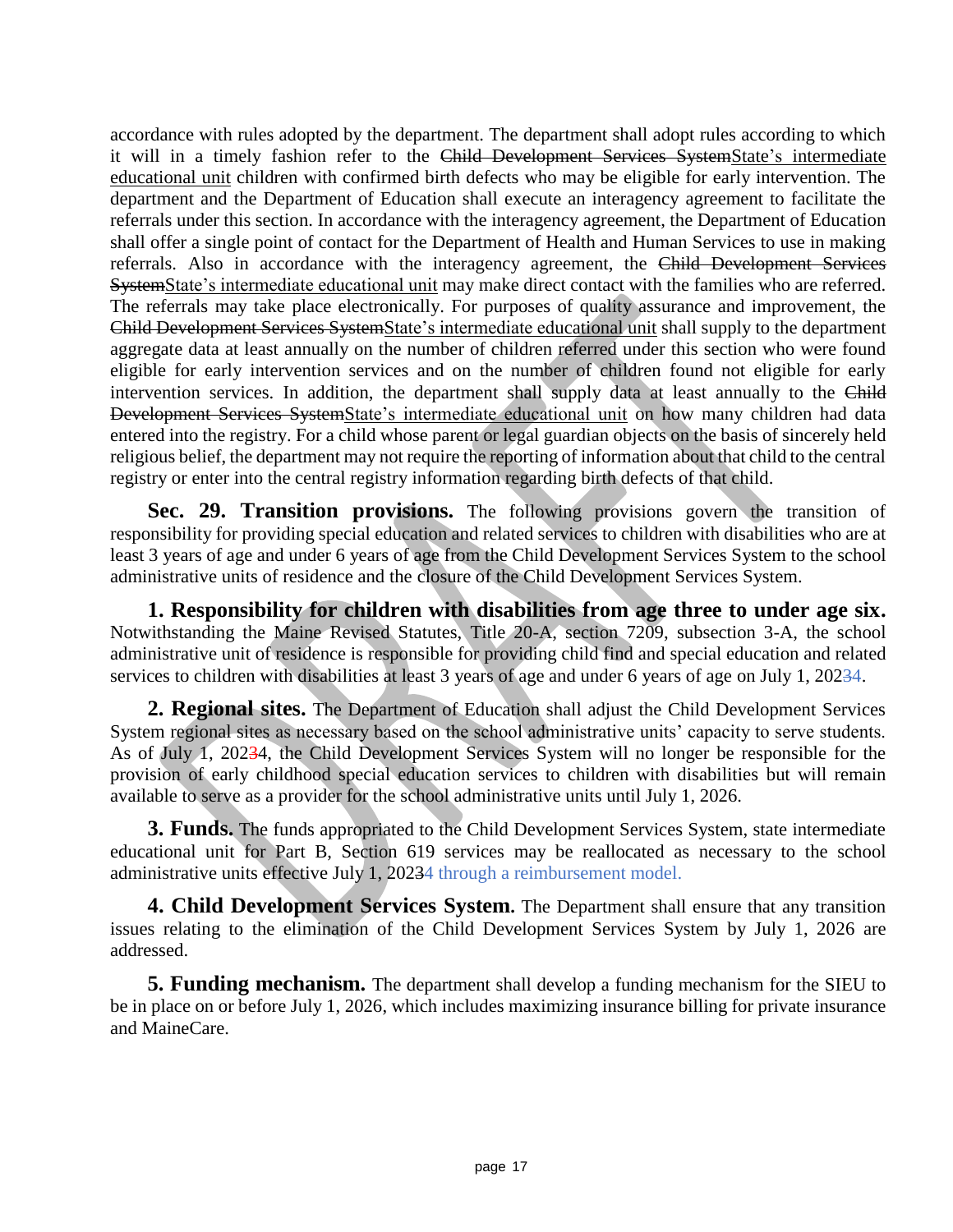accordance with rules adopted by the department. The department shall adopt rules according to which it will in a timely fashion refer to the Child Development Services SystemState's intermediate educational unit children with confirmed birth defects who may be eligible for early intervention. The department and the Department of Education shall execute an interagency agreement to facilitate the referrals under this section. In accordance with the interagency agreement, the Department of Education shall offer a single point of contact for the Department of Health and Human Services to use in making referrals. Also in accordance with the interagency agreement, the Child Development Services SystemState's intermediate educational unit may make direct contact with the families who are referred. The referrals may take place electronically. For purposes of quality assurance and improvement, the Child Development Services SystemState's intermediate educational unit shall supply to the department aggregate data at least annually on the number of children referred under this section who were found eligible for early intervention services and on the number of children found not eligible for early intervention services. In addition, the department shall supply data at least annually to the Child Development Services SystemState's intermediate educational unit on how many children had data entered into the registry. For a child whose parent or legal guardian objects on the basis of sincerely held religious belief, the department may not require the reporting of information about that child to the central registry or enter into the central registry information regarding birth defects of that child.

**Sec. 29. Transition provisions.** The following provisions govern the transition of responsibility for providing special education and related services to children with disabilities who are at least 3 years of age and under 6 years of age from the Child Development Services System to the school administrative units of residence and the closure of the Child Development Services System.

**1. Responsibility for children with disabilities from age three to under age six.** Notwithstanding the Maine Revised Statutes, Title 20-A, section 7209, subsection 3-A, the school administrative unit of residence is responsible for providing child find and special education and related services to children with disabilities at least 3 years of age and under 6 years of age on July 1, 20234.

**2. Regional sites.** The Department of Education shall adjust the Child Development Services System regional sites as necessary based on the school administrative units' capacity to serve students. As of July 1, 20234, the Child Development Services System will no longer be responsible for the provision of early childhood special education services to children with disabilities but will remain available to serve as a provider for the school administrative units until July 1, 2026.

**3. Funds.** The funds appropriated to the Child Development Services System, state intermediate educational unit for Part B, Section 619 services may be reallocated as necessary to the school administrative units effective July 1, 20234 through a reimbursement model.

**4. Child Development Services System.** The Department shall ensure that any transition issues relating to the elimination of the Child Development Services System by July 1, 2026 are addressed.

**5. Funding mechanism.** The department shall develop a funding mechanism for the SIEU to be in place on or before July 1, 2026, which includes maximizing insurance billing for private insurance and MaineCare.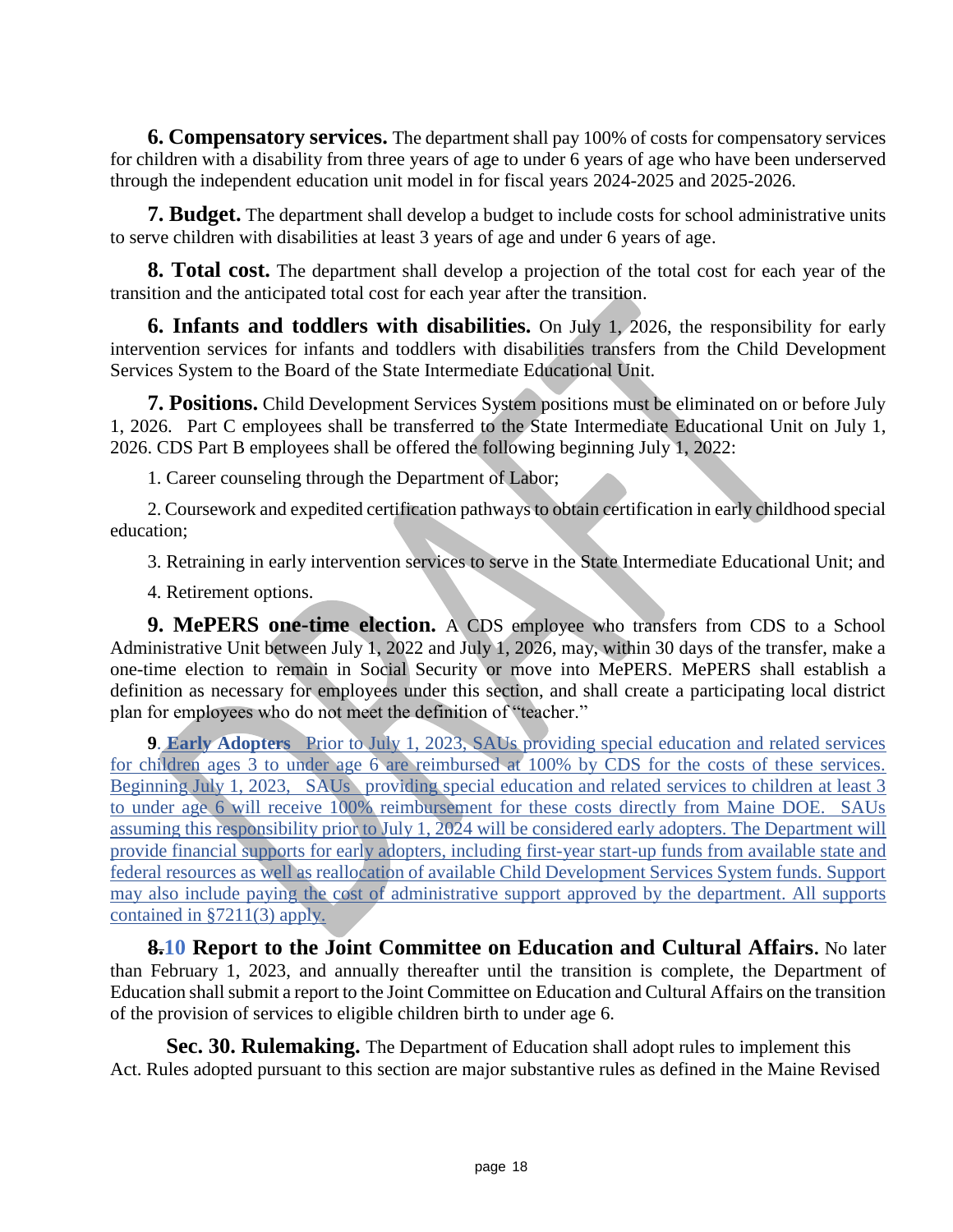**6. Compensatory services.** The department shall pay 100% of costs for compensatory services for children with a disability from three years of age to under 6 years of age who have been underserved through the independent education unit model in for fiscal years 2024-2025 and 2025-2026.

**7. Budget.** The department shall develop a budget to include costs for school administrative units to serve children with disabilities at least 3 years of age and under 6 years of age.

**8. Total cost.** The department shall develop a projection of the total cost for each year of the transition and the anticipated total cost for each year after the transition.

**6. Infants and toddlers with disabilities.** On July 1, 2026, the responsibility for early intervention services for infants and toddlers with disabilities transfers from the Child Development Services System to the Board of the State Intermediate Educational Unit.

**7. Positions.** Child Development Services System positions must be eliminated on or before July 1, 2026. Part C employees shall be transferred to the State Intermediate Educational Unit on July 1, 2026. CDS Part B employees shall be offered the following beginning July 1, 2022:

1. Career counseling through the Department of Labor;

2. Coursework and expedited certification pathways to obtain certification in early childhood special education;

3. Retraining in early intervention services to serve in the State Intermediate Educational Unit; and

4. Retirement options.

**9. MePERS one-time election.** A CDS employee who transfers from CDS to a School Administrative Unit between July 1, 2022 and July 1, 2026, may, within 30 days of the transfer, make a one-time election to remain in Social Security or move into MePERS. MePERS shall establish a definition as necessary for employees under this section, and shall create a participating local district plan for employees who do not meet the definition of "teacher."

**9**. **Early Adopters** Prior to July 1, 2023, SAUs providing special education and related services for children ages 3 to under age 6 are reimbursed at 100% by CDS for the costs of these services. Beginning July 1, 2023, SAUs providing special education and related services to children at least 3 to under age 6 will receive 100% reimbursement for these costs directly from Maine DOE. SAUs assuming this responsibility prior to July 1, 2024 will be considered early adopters. The Department will provide financial supports for early adopters, including first-year start-up funds from available state and federal resources as well as reallocation of available Child Development Services System funds. Support may also include paying the cost of administrative support approved by the department. All supports contained in §7211(3) apply.

**8.10 Report to the Joint Committee on Education and Cultural Affairs.** No later than February 1, 2023, and annually thereafter until the transition is complete, the Department of Education shall submit a report to the Joint Committee on Education and Cultural Affairs on the transition of the provision of services to eligible children birth to under age 6.

**Sec. 30. Rulemaking.** The Department of Education shall adopt rules to implement this Act. Rules adopted pursuant to this section are major substantive rules as defined in the Maine Revised